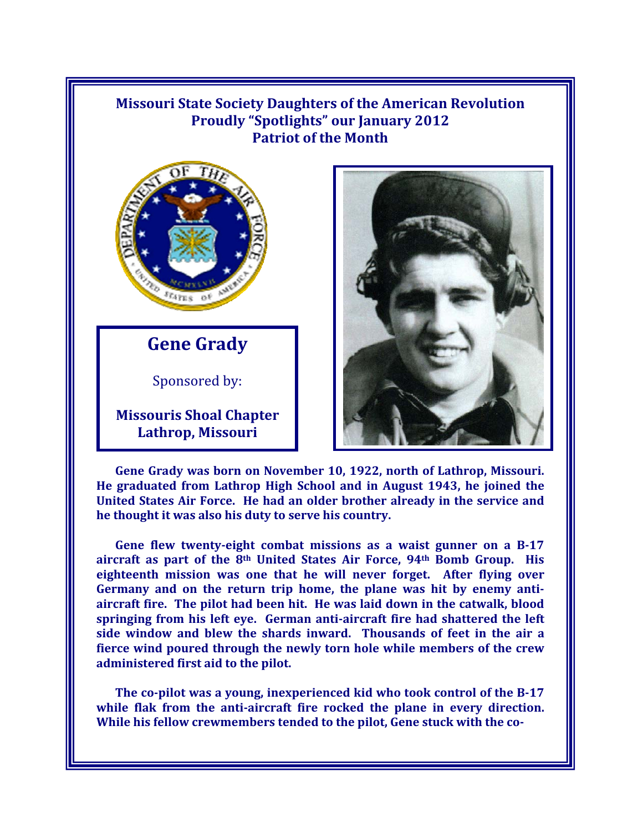## **Missouri State Society Daughters of the American Revolution Proudly "Spotlights" our January 2012 Patriot of the Month**



**Gene Grady**

Sponsored by:

**Missouris Shoal Chapter Lathrop, Missouri** 



**Gene Grady was born on November 10, 1922, north of Lathrop, Missouri. He graduated from Lathrop High School and in August 1943, he joined the United States Air Force. He had an older brother already in the service and he thought it was also his duty to serve his country.** 

**Gene flew twenty-eight combat missions as a waist gunner on a B-17 aircraft as part of the 8th United States Air Force, 94th Bomb Group. His eighteenth mission was one that he will never forget. After flying over Germany and on the return trip home, the plane was hit by enemy antiaircraft fire. The pilot had been hit. He was laid down in the catwalk, blood springing from his left eye. German anti-aircraft fire had shattered the left side window and blew the shards inward. Thousands of feet in the air a fierce wind poured through the newly torn hole while members of the crew administered first aid to the pilot.** 

**The co-pilot was a young, inexperienced kid who took control of the B-17 while flak from the anti-aircraft fire rocked the plane in every direction. While his fellow crewmembers tended to the pilot, Gene stuck with the co-**